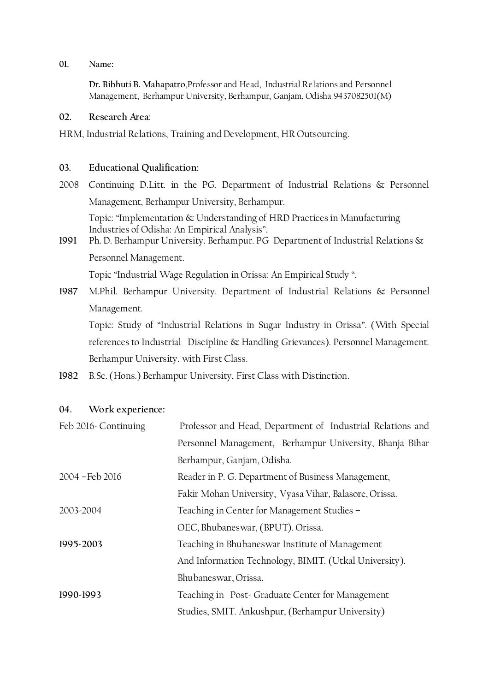## **01. Name:**

**Dr. Bibhuti B. Mahapatro**,Professor and Head, Industrial Relations and Personnel Management, Berhampur University, Berhampur, Ganjam, Odisha 9437082501(M)

## **02. Research Area**:

HRM, Industrial Relations, Training and Development, HR Outsourcing.

## **03. Educational Qualification:**

2008 Continuing D.Litt. in the PG. Department of Industrial Relations & Personnel Management, Berhampur University, Berhampur.

Topic: "Implementation & Understanding of HRD Practices in Manufacturing Industries of Odisha: An Empirical Analysis".

**1991** Ph. D. Berhampur University. Berhampur. PG Department of Industrial Relations & Personnel Management.

Topic "Industrial Wage Regulation in Orissa: An Empirical Study ".

**1987** M.Phil. Berhampur University. Department of Industrial Relations & Personnel Management.

Topic: Study of "Industrial Relations in Sugar Industry in Orissa". (With Special references to Industrial Discipline & Handling Grievances). Personnel Management. Berhampur University. with First Class.

**1982** B.Sc. (Hons.) Berhampur University, First Class with Distinction.

## **04. Work experience:**

| Feb 2016-Continuing | Professor and Head, Department of Industrial Relations and |  |  |
|---------------------|------------------------------------------------------------|--|--|
|                     | Personnel Management, Berhampur University, Bhanja Bihar   |  |  |
|                     | Berhampur, Ganjam, Odisha.                                 |  |  |
| 2004 - Feb 2016     | Reader in P. G. Department of Business Management,         |  |  |
|                     | Fakir Mohan University, Vyasa Vihar, Balasore, Orissa.     |  |  |
| 2003-2004           | Teaching in Center for Management Studies -                |  |  |
|                     | OEC, Bhubaneswar, (BPUT). Orissa.                          |  |  |
| 1995-2003           | Teaching in Bhubaneswar Institute of Management            |  |  |
|                     | And Information Technology, BIMIT. (Utkal University).     |  |  |
|                     | Bhubaneswar, Orissa.                                       |  |  |
| 1990-1993           | Teaching in Post-Graduate Center for Management            |  |  |
|                     | Studies, SMIT. Ankushpur, (Berhampur University)           |  |  |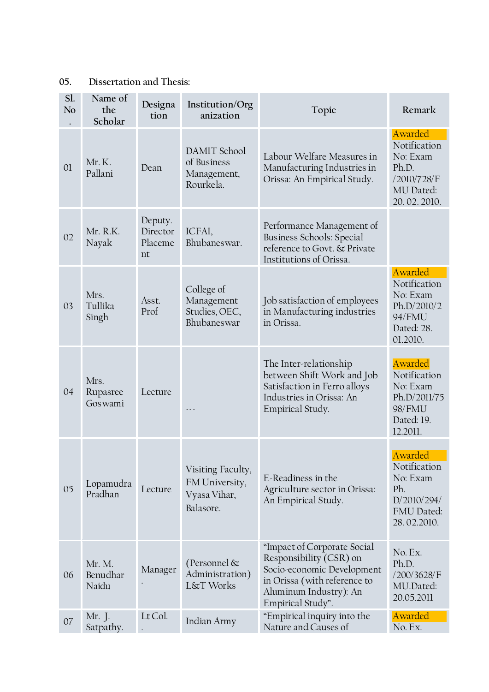# **05. Dissertation and Thesis:**

| Sl.<br>No      | Name of<br>the<br>Scholar   | Designa<br>tion                      | Institution/Org<br>anization                                     | Topic                                                                                                                                                               | Remark                                                                                  |
|----------------|-----------------------------|--------------------------------------|------------------------------------------------------------------|---------------------------------------------------------------------------------------------------------------------------------------------------------------------|-----------------------------------------------------------------------------------------|
| 0 <sup>1</sup> | Mr.K.<br>Pallani            | Dean                                 | DAMIT School<br>of Business<br>Management,<br>Rourkela.          | Labour Welfare Measures in<br>Manufacturing Industries in<br>Orissa: An Empirical Study.                                                                            | Awarded<br>Notification<br>No: Exam<br>Ph.D.<br>/2010/728/F<br>MU Dated:<br>20.02.2010. |
| 02             | Mr. R.K.<br>Nayak           | Deputy.<br>Director<br>Placeme<br>nt | ICFAI,<br>Bhubaneswar.                                           | Performance Management of<br>Business Schools: Special<br>reference to Govt. & Private<br>Institutions of Orissa.                                                   |                                                                                         |
| 03             | Mrs.<br>Tullika<br>Singh    | Asst.<br>Prof                        | College of<br>Management<br>Studies, OEC,<br>Bhubaneswar         | Job satisfaction of employees<br>in Manufacturing industries<br>in Orissa.                                                                                          | Awarded<br>Notification<br>No: Exam<br>Ph.D/2010/2<br>94/FMU<br>Dated: 28.<br>01.2010.  |
| 04             | Mrs.<br>Rupasree<br>Goswami | Lecture                              | ---                                                              | The Inter-relationship<br>between Shift Work and Job<br>Satisfaction in Ferro alloys<br>Industries in Orissa: An<br>Empirical Study.                                | Awarded<br>Notification<br>No: Exam<br>Ph.D/2011/75<br>98/FMU<br>Dated: 19.<br>12.2011. |
| 05             | Lopamudra<br>Pradhan        | Lecture                              | Visiting Faculty,<br>FM University,<br>Vyasa Vihar,<br>Balasore. | E-Readiness in the<br>Agriculture sector in Orissa:<br>An Empirical Study.                                                                                          | Awarded<br>Notification<br>No: Exam<br>Ph.<br>D/2010/294/<br>FMU Dated:<br>28.02.2010.  |
| 06             | Mr. M.<br>Benudhar<br>Naidu | Manager                              | (Personnel $\&$<br>Administration)<br>L&T Works                  | "Impact of Corporate Social<br>Responsibility (CSR) on<br>Socio-economic Development<br>in Orissa (with reference to<br>Aluminum Industry): An<br>Empirical Study". | No. Ex.<br>Ph.D.<br>/200/3628/F<br>MU.Dated:<br>20.05.2011                              |
| 07             | Mr. J.<br>Satpathy.         | Lt Col.                              | Indian Army                                                      | "Empirical inquiry into the<br>Nature and Causes of                                                                                                                 | Awarded<br>No. Ex.                                                                      |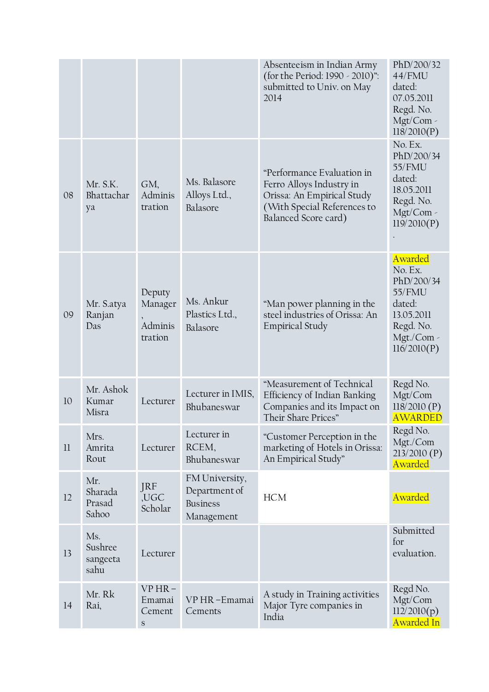|    |                                    |                                               |                                                                  | Absenteeism in Indian Army<br>(for the Period: 1990 - 2010)":<br>submitted to Univ. on May<br>2014                                          | PhD/200/32<br>44/FMU<br>dated:<br>07.05.2011<br>Regd. No.<br>Mgt/Com -<br>118/2010(P)                        |
|----|------------------------------------|-----------------------------------------------|------------------------------------------------------------------|---------------------------------------------------------------------------------------------------------------------------------------------|--------------------------------------------------------------------------------------------------------------|
| 08 | Mr. S.K.<br>Bhattachar<br>ya       | GM,<br>Adminis<br>tration                     | Ms. Balasore<br>Alloys Ltd.,<br>Balasore                         | "Performance Evaluation in<br>Ferro Alloys Industry in<br>Orissa: An Empirical Study<br>(With Special References to<br>Balanced Score card) | No. Ex.<br>PhD/200/34<br>55/FMU<br>dated:<br>18.05.2011<br>Regd. No.<br>Mgt/Com -<br>119/2010(P)             |
| 09 | Mr. S.atya<br>Ranjan<br>Das        | Deputy<br>Manager<br>Adminis<br>tration       | Ms. Ankur<br>Plastics Ltd.,<br>Balasore                          | "Man power planning in the<br>steel industries of Orissa: An<br><b>Empirical Study</b>                                                      | Awarded<br>No. Ex.<br>PhD/200/34<br>55/FMU<br>dated:<br>13.05.2011<br>Regd. No.<br>Mgt./Com -<br>116/2010(P) |
| 10 | Mr. Ashok<br>Kumar<br>Misra        | Lecturer                                      | Lecturer in IMIS,<br>Bhubaneswar                                 | "Measurement of Technical<br>Efficiency of Indian Banking<br>Companies and its Impact on<br>Their Share Prices"                             | Regd No.<br>Mgt/Com<br>118/2010(P)<br><b>AWARDED</b>                                                         |
| 11 | Mrs.<br>Amrita<br>Rout             | Lecturer                                      | Lecturer in<br>RCEM,<br>Bhubaneswar                              | "Customer Perception in the<br>marketing of Hotels in Orissa:<br>An Empirical Study"                                                        | Regd No.<br>Mgt./Com<br>213/2010(P)<br>Awarded                                                               |
| 12 | Mr.<br>Sharada<br>Prasad<br>Sahoo  | JRF<br>,UGC<br>Scholar                        | FM University,<br>Department of<br><b>Business</b><br>Management | <b>HCM</b>                                                                                                                                  | Awarded                                                                                                      |
| 13 | Ms.<br>Sushree<br>sangeeta<br>sahu | Lecturer                                      |                                                                  |                                                                                                                                             | Submitted<br>for<br>evaluation.                                                                              |
| 14 | Mr. Rk<br>Rai,                     | $VPHR -$<br>Emamai<br>Cement<br>${\mathsf S}$ | VP HR-Emamai<br>Cements                                          | A study in Training activities<br>Major Tyre companies in<br>India                                                                          | Regd No.<br>Mgt/Com<br>112/2010(p)<br>Awarded In                                                             |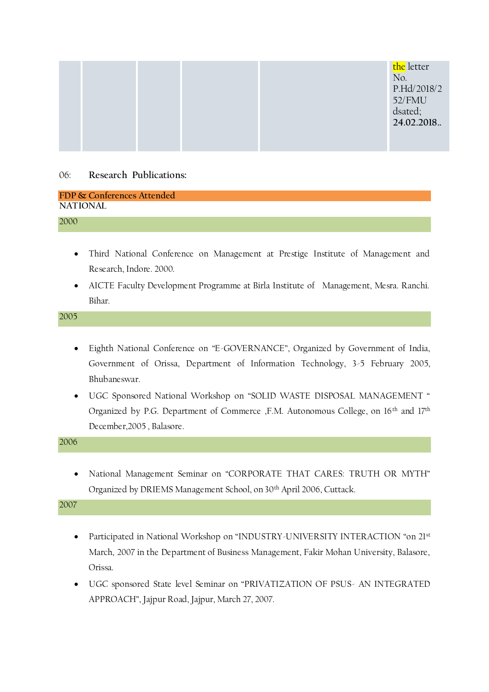|  |  | the letter<br>No.<br>P.Hd/2018/2<br>52/FMU<br>dsated;<br>24.02.2018. |
|--|--|----------------------------------------------------------------------|
|  |  |                                                                      |

## 06: **Research Publications:**

| FDP & Conferences Attended |  |
|----------------------------|--|
| <b>NATIONAL</b>            |  |
| 2000                       |  |

- Third National Conference on Management at Prestige Institute of Management and Research, Indore. 2000.
- AICTE Faculty Development Programme at Birla Institute of Management, Mesra. Ranchi. Bihar.

2005

- Eighth National Conference on "E-GOVERNANCE", Organized by Government of India, Government of Orissa, Department of Information Technology, 3-5 February 2005, Bhubaneswar.
- UGC Sponsored National Workshop on "SOLID WASTE DISPOSAL MANAGEMENT " Organized by P.G. Department of Commerce ,F.M. Autonomous College, on 16<sup>th</sup> and 17<sup>th</sup> December,2005 , Balasore.

2006

 National Management Seminar on "CORPORATE THAT CARES: TRUTH OR MYTH" Organized by DRIEMS Management School, on 30th April 2006, Cuttack.

- Participated in National Workshop on "INDUSTRY-UNIVERSITY INTERACTION "on 21st March, 2007 in the Department of Business Management, Fakir Mohan University, Balasore, Orissa.
- UGC sponsored State level Seminar on "PRIVATIZATION OF PSUS- AN INTEGRATED APPROACH", Jajpur Road, Jajpur, March 27, 2007.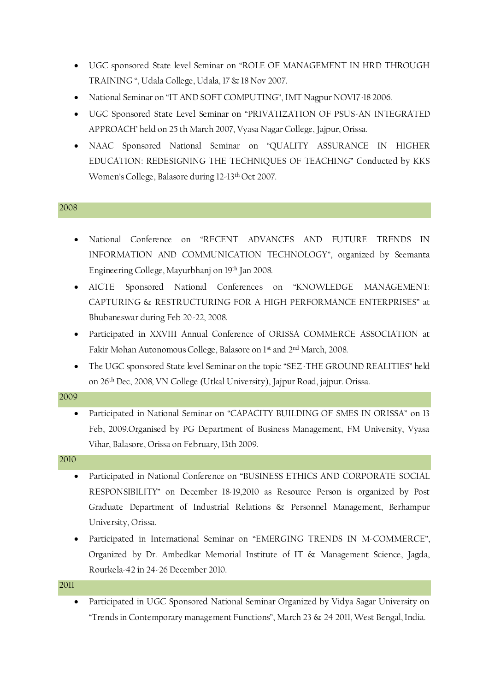- UGC sponsored State level Seminar on "ROLE OF MANAGEMENT IN HRD THROUGH TRAINING ", Udala College, Udala, 17 & 18 Nov 2007.
- National Seminar on "IT AND SOFT COMPUTING", IMT Nagpur NOV17-18 2006.
- UGC Sponsored State Level Seminar on "PRIVATIZATION OF PSUS-AN INTEGRATED APPROACH' held on 25 th March 2007, Vyasa Nagar College, Jajpur, Orissa.
- NAAC Sponsored National Seminar on "QUALITY ASSURANCE IN HIGHER EDUCATION: REDESIGNING THE TECHNIQUES OF TEACHING" Conducted by KKS Women's College, Balasore during 12-13th Oct 2007.

- National Conference on "RECENT ADVANCES AND FUTURE TRENDS IN INFORMATION AND COMMUNICATION TECHNOLOGY", organized by Seemanta Engineering College, Mayurbhanj on 19th Jan 2008.
- AICTE Sponsored National Conferences on "KNOWLEDGE MANAGEMENT: CAPTURING & RESTRUCTURING FOR A HIGH PERFORMANCE ENTERPRISES" at Bhubaneswar during Feb 20-22, 2008.
- Participated in XXVIII Annual Conference of ORISSA COMMERCE ASSOCIATION at Fakir Mohan Autonomous College, Balasore on 1st and 2nd March, 2008.
- The UGC sponsored State level Seminar on the topic "SEZ-THE GROUND REALITIES" held on 26th Dec, 2008, VN College (Utkal University), Jajpur Road, jajpur. Orissa.

| 2009 |                                                                                    |
|------|------------------------------------------------------------------------------------|
|      | • Participated in National Seminar on "CAPACITY BUILDING OF SMES IN ORISSA" on 13  |
|      | Feb, 2009. Organised by PG Department of Business Management, FM University, Vyasa |

Vihar, Balasore, Orissa on February, 13th 2009.

2010

- Participated in National Conference on "BUSINESS ETHICS AND CORPORATE SOCIAL RESPONSIBILITY" on December 18-19,2010 as Resource Person is organized by Post Graduate Department of Industrial Relations & Personnel Management, Berhampur University, Orissa.
- Participated in International Seminar on "EMERGING TRENDS IN M-COMMERCE", Organized by Dr. Ambedkar Memorial Institute of IT & Management Science, Jagda, Rourkela-42 in 24-26 December 2010.

2011

 Participated in UGC Sponsored National Seminar Organized by Vidya Sagar University on "Trends in Contemporary management Functions", March 23 & 24 2011, West Bengal, India.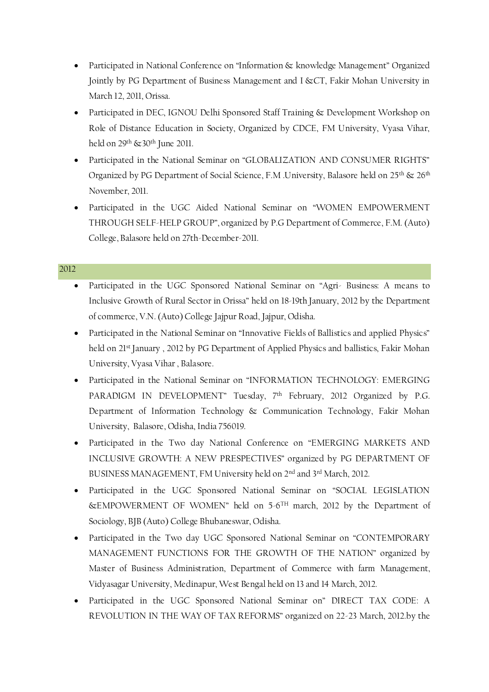- Participated in National Conference on "Information & knowledge Management" Organized Jointly by PG Department of Business Management and I &CT, Fakir Mohan University in March 12, 2011, Orissa.
- Participated in DEC, IGNOU Delhi Sponsored Staff Training & Development Workshop on Role of Distance Education in Society, Organized by CDCE, FM University, Vyasa Vihar, held on 29<sup>th</sup> & 30<sup>th</sup> June 2011.
- Participated in the National Seminar on "GLOBALIZATION AND CONSUMER RIGHTS" Organized by PG Department of Social Science, F.M .University, Balasore held on 25th  $\otimes$  26th November, 2011.
- Participated in the UGC Aided National Seminar on "WOMEN EMPOWERMENT THROUGH SELF-HELP GROUP", organized by P.G Department of Commerce, F.M. (Auto) College, Balasore held on 27th-December-2011.

- Participated in the UGC Sponsored National Seminar on "Agri- Business: A means to Inclusive Growth of Rural Sector in Orissa" held on 18-19th January, 2012 by the Department of commerce, V.N. (Auto) College Jajpur Road, Jajpur, Odisha.
- Participated in the National Seminar on "Innovative Fields of Ballistics and applied Physics" held on 21<sup>st</sup> January, 2012 by PG Department of Applied Physics and ballistics, Fakir Mohan University, Vyasa Vihar , Balasore.
- Participated in the National Seminar on "INFORMATION TECHNOLOGY: EMERGING PARADIGM IN DEVELOPMENT" Tuesday, 7<sup>th</sup> February, 2012 Organized by P.G. Department of Information Technology & Communication Technology, Fakir Mohan University, Balasore, Odisha, India 756019.
- Participated in the Two day National Conference on "EMERGING MARKETS AND INCLUSIVE GROWTH: A NEW PRESPECTIVES" organized by PG DEPARTMENT OF BUSINESS MANAGEMENT, FM University held on 2nd and 3rd March, 2012.
- Participated in the UGC Sponsored National Seminar on "SOCIAL LEGISLATION &EMPOWERMENT OF WOMEN" held on 5-6 TH march, 2012 by the Department of Sociology, BJB (Auto) College Bhubaneswar, Odisha.
- Participated in the Two day UGC Sponsored National Seminar on "CONTEMPORARY MANAGEMENT FUNCTIONS FOR THE GROWTH OF THE NATION" organized by Master of Business Administration, Department of Commerce with farm Management, Vidyasagar University, Medinapur, West Bengal held on 13 and 14 March, 2012.
- Participated in the UGC Sponsored National Seminar on" DIRECT TAX CODE: A REVOLUTION IN THE WAY OF TAX REFORMS" organized on 22-23 March, 2012.by the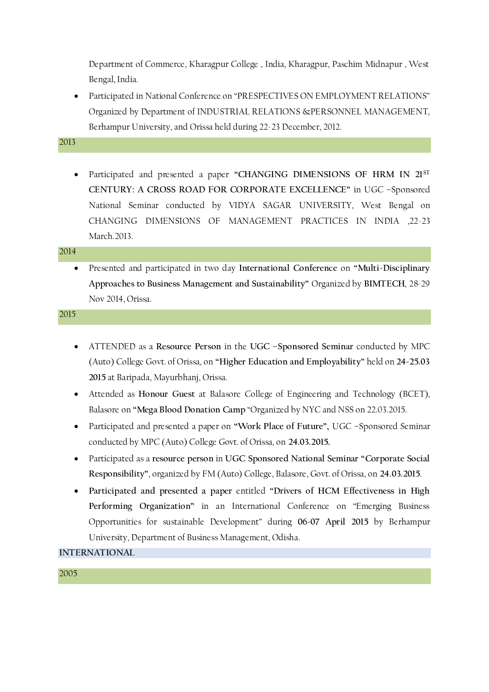Department of Commerce, Kharagpur College , India, Kharagpur, Paschim Midnapur , West Bengal, India.

 Participated in National Conference on "PRESPECTIVES ON EMPLOYMENT RELATIONS" Organized by Department of INDUSTRIAL RELATIONS &PERSONNEL MANAGEMENT, Berhampur University, and Orissa held during 22-23 December, 2012.

2013

 Participated and presented a paper **"CHANGING DIMENSIONS OF HRM IN 21ST CENTURY: A CROSS ROAD FOR CORPORATE EXCELLENCE"** in UGC –Sponsored National Seminar conducted by VIDYA SAGAR UNIVERSITY, West Bengal on CHANGING DIMENSIONS OF MANAGEMENT PRACTICES IN INDIA ,22-23 March.2013.

#### 2014

 Presented and participated in two day **International Conference** on **"Multi-Disciplinary Approaches to Business Management and Sustainability"** Organized by **BIMTECH**, 28-29 Nov 2014, Orissa.

#### 2015

- ATTENDED as a **Resource Person** in the **UGC –Sponsored Seminar** conducted by MPC (Auto) College Govt. of Orissa, on **"Higher Education and Employability"** held on **24-25.03 2015** at Baripada, Mayurbhanj, Orissa.
- Attended as **Honour Guest** at Balasore College of Engineering and Technology (BCET), Balasore on **"Mega Blood Donation Camp** "Organized by NYC and NSS on 22.03.2015.
- Participated and presented a paper on **"Work Place of Future",** UGC –Sponsored Seminar conducted by MPC (Auto) College Govt. of Orissa, on **24.03.2015.**
- Participated as a **resource person** in **UGC Sponsored National Seminar "Corporate Social Responsibility"**, organized by FM (Auto) College, Balasore, Govt. of Orissa, on **24.03.2015**.
- **Participated and presented a paper** entitled **"Drivers of HCM Effectiveness in High Performing Organization"** in an International Conference on "Emerging Business Opportunities for sustainable Development" during **06-07 April 2015** by Berhampur University, Department of Business Management, Odisha.

**INTERNATIONAL**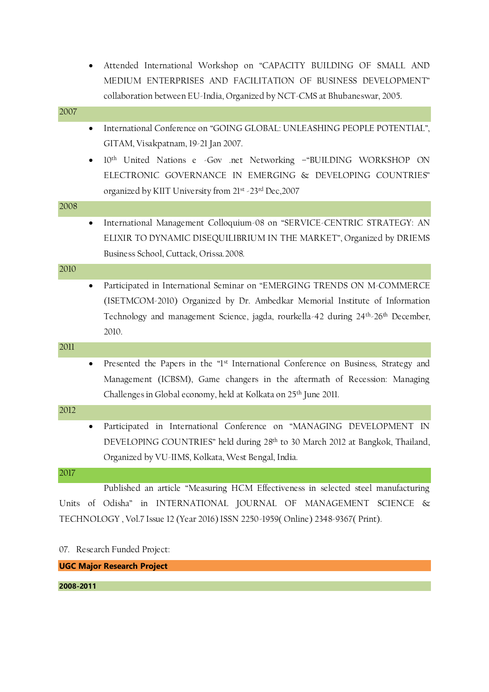|           | Attended International Workshop on "CAPACITY BUILDING OF SMALL AND                                         |
|-----------|------------------------------------------------------------------------------------------------------------|
|           | MEDIUM ENTERPRISES AND FACILITATION OF BUSINESS DEVELOPMENT"                                               |
|           | collaboration between EU-India, Organized by NCT-CMS at Bhubaneswar, 2005.                                 |
| 2007      |                                                                                                            |
| $\bullet$ | International Conference on "GOING GLOBAL: UNLEASHING PEOPLE POTENTIAL",                                   |
|           | GITAM, Visakpatnam, 19-21 Jan 2007.                                                                        |
| ٠         | 10 <sup>th</sup> United Nations e Gov .net Networking -"BUILDING WORKSHOP ON                               |
|           | ELECTRONIC GOVERNANCE IN EMERGING & DEVELOPING COUNTRIES"                                                  |
|           | organized by KIIT University from 21st -23rd Dec, 2007                                                     |
| 2008      |                                                                                                            |
| ٠         | International Management Colloquium-08 on "SERVICE-CENTRIC STRATEGY: AN                                    |
|           | ELIXIR TO DYNAMIC DISEQUILIBRIUM IN THE MARKET", Organized by DRIEMS                                       |
|           | Business School, Cuttack, Orissa.2008.                                                                     |
| 2010      |                                                                                                            |
| ٠         | Participated in International Seminar on "EMERGING TRENDS ON M-COMMERCE                                    |
|           | (ISETMCOM-2010) Organized by Dr. Ambedkar Memorial Institute of Information                                |
|           | Technology and management Science, jagda, rourkella-42 during 24 <sup>th</sup> -26 <sup>th</sup> December, |
|           | 2010.                                                                                                      |
| 2011      |                                                                                                            |
| ٠         | Presented the Papers in the "1st International Conference on Business, Strategy and                        |
|           | Management (ICBSM), Game changers in the aftermath of Recession: Managing                                  |
|           | Challenges in Global economy, held at Kolkata on 25 <sup>th</sup> June 2011.                               |
| 2012      |                                                                                                            |
|           | Participated in International Conference on "MANAGING DEVELOPMENT IN                                       |
|           | DEVELOPING COUNTRIES" held during 28th to 30 March 2012 at Bangkok, Thailand,                              |
|           | Organized by VU-IIMS, Kolkata, West Bengal, India.                                                         |
| 2017      |                                                                                                            |
|           | Published an article "Measuring HCM Effectiveness in selected steel manufacturing                          |
| Units     | of Odisha" in INTERNATIONAL JOURNAL OF MANAGEMENT SCIENCE &                                                |
|           | TECHNOLOGY, Vol.7 Issue 12 (Year 2016) ISSN 2250-1959(Online) 2348-9367( Print).                           |
|           |                                                                                                            |

07. Research Funded Project:

**UGC Major Research Project**

**2008-2011**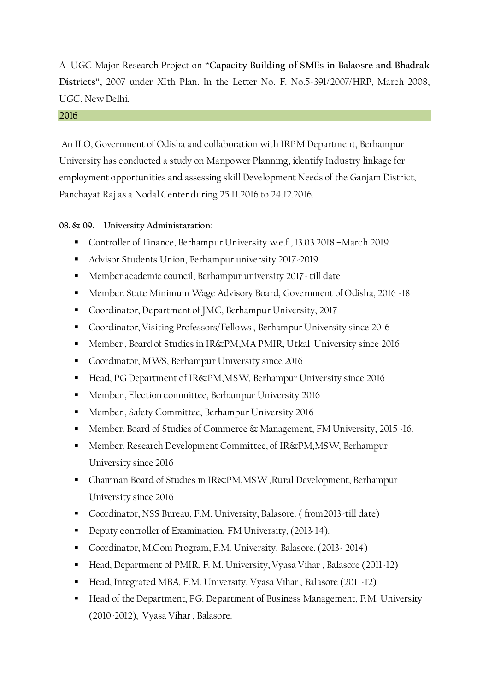A UGC Major Research Project on **"Capacity Building of SMEs in Balaosre and Bhadrak Districts",** 2007 under XIth Plan. In the Letter No. F. No.5-391/2007/HRP, March 2008, UGC, New Delhi.

#### **2016**

An ILO, Government of Odisha and collaboration with IRPM Department, Berhampur University has conducted a study on Manpower Planning, identify Industry linkage for employment opportunities and assessing skill Development Needs of the Ganjam District, Panchayat Raj as a Nodal Center during 25.11.2016 to 24.12.2016.

**08. & 09. University Administaration**:

- Controller of Finance, Berhampur University w.e.f., 13.03.2018 –March 2019.
- Advisor Students Union, Berhampur university 2017-2019
- Member academic council, Berhampur university 2017- till date
- Member, State Minimum Wage Advisory Board, Government of Odisha, 2016 -18
- Coordinator, Department of JMC, Berhampur University, 2017
- Coordinator, Visiting Professors/Fellows , Berhampur University since 2016
- Member, Board of Studies in IR&PM,MA PMIR, Utkal University since 2016
- **Coordinator, MWS, Berhampur University since 2016**
- Head, PG Department of IR&PM,MSW, Berhampur University since 2016
- **Member**, Election committee, Berhampur University 2016
- **Member, Safety Committee, Berhampur University 2016**
- Member, Board of Studies of Commerce & Management, FM University, 2015 -16.
- Member, Research Development Committee, of IR&PM, MSW, Berhampur University since 2016
- Chairman Board of Studies in IR&PM,MSW ,Rural Development, Berhampur University since 2016
- Coordinator, NSS Bureau, F.M. University, Balasore. (from 2013-till date)
- Deputy controller of Examination, FM University, (2013-14).
- Coordinator, M.Com Program, F.M. University, Balasore. (2013- 2014)
- Head, Department of PMIR, F. M. University, Vyasa Vihar, Balasore (2011-12)
- Head, Integrated MBA, F.M. University, Vyasa Vihar, Balasore (2011-12)
- Head of the Department, PG. Department of Business Management, F.M. University (2010-2012), Vyasa Vihar , Balasore.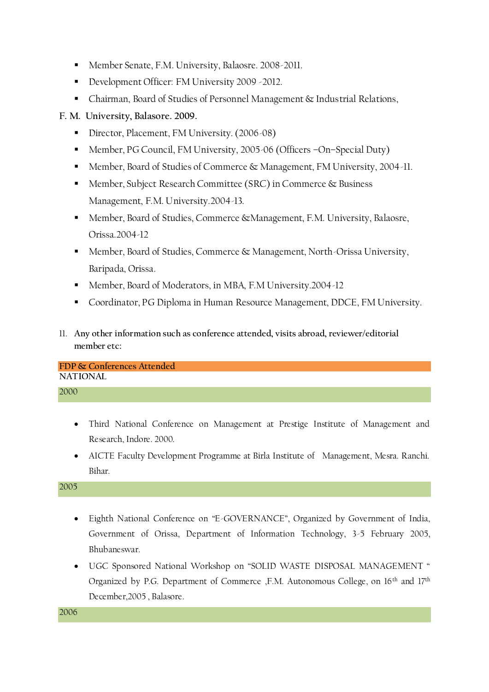- Member Senate, F.M. University, Balaosre. 2008-2011.
- Development Officer: FM University 2009 2012.
- Chairman, Board of Studies of Personnel Management & Industrial Relations,

**F. M. University, Balasore. 2009.** 

- Director, Placement, FM University. (2006-08)
- Member, PG Council, FM University, 2005-06 (Officers –On–Special Duty)
- Member, Board of Studies of Commerce & Management, FM University, 2004-11.
- Member, Subject Research Committee (SRC) in Commerce & Business Management, F.M. University.2004-13.
- Member, Board of Studies, Commerce &Management, F.M. University, Balaosre, Orissa.2004-12
- Member, Board of Studies, Commerce & Management, North-Orissa University, Baripada, Orissa.
- Member, Board of Moderators, in MBA, F.M University.2004-12
- Coordinator, PG Diploma in Human Resource Management, DDCE, FM University.
- 11. **Any other information such as conference attended, visits abroad, reviewer/editorial member etc:**

**FDP & Conferences Attended NATIONAL**

## 2000

- Third National Conference on Management at Prestige Institute of Management and Research, Indore. 2000.
- AICTE Faculty Development Programme at Birla Institute of Management, Mesra. Ranchi. Bihar.

2005

- Eighth National Conference on "E-GOVERNANCE", Organized by Government of India, Government of Orissa, Department of Information Technology, 3-5 February 2005, Bhubaneswar.
- UGC Sponsored National Workshop on "SOLID WASTE DISPOSAL MANAGEMENT " Organized by P.G. Department of Commerce ,F.M. Autonomous College, on 16<sup>th</sup> and 17<sup>th</sup> December,2005 , Balasore.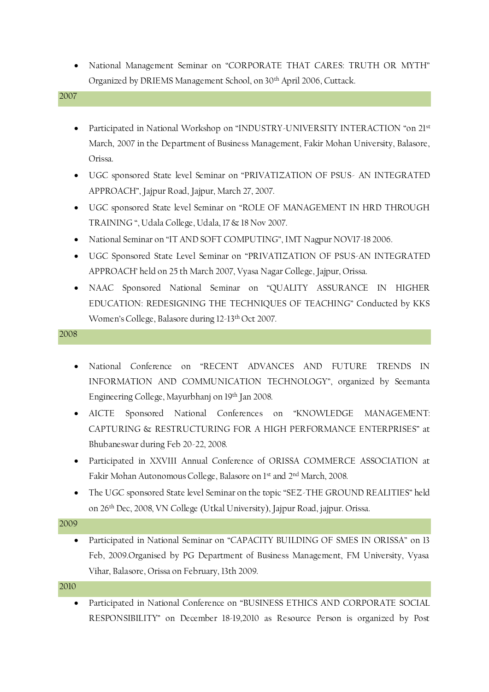National Management Seminar on "CORPORATE THAT CARES: TRUTH OR MYTH" Organized by DRIEMS Management School, on 30th April 2006, Cuttack.

#### 2007

- Participated in National Workshop on "INDUSTRY-UNIVERSITY INTERACTION "on 21st March, 2007 in the Department of Business Management, Fakir Mohan University, Balasore, Orissa.
- UGC sponsored State level Seminar on "PRIVATIZATION OF PSUS- AN INTEGRATED APPROACH", Jajpur Road, Jajpur, March 27, 2007.
- UGC sponsored State level Seminar on "ROLE OF MANAGEMENT IN HRD THROUGH TRAINING ", Udala College, Udala, 17 & 18 Nov 2007.
- National Seminar on "IT AND SOFT COMPUTING", IMT Nagpur NOV17-18 2006.
- UGC Sponsored State Level Seminar on "PRIVATIZATION OF PSUS-AN INTEGRATED APPROACH' held on 25 th March 2007, Vyasa Nagar College, Jajpur, Orissa.
- NAAC Sponsored National Seminar on "QUALITY ASSURANCE IN HIGHER EDUCATION: REDESIGNING THE TECHNIQUES OF TEACHING" Conducted by KKS Women's College, Balasore during 12-13th Oct 2007.

#### 2008

- National Conference on "RECENT ADVANCES AND FUTURE TRENDS IN INFORMATION AND COMMUNICATION TECHNOLOGY", organized by Seemanta Engineering College, Mayurbhanj on 19th Jan 2008.
- AICTE Sponsored National Conferences on "KNOWLEDGE MANAGEMENT: CAPTURING & RESTRUCTURING FOR A HIGH PERFORMANCE ENTERPRISES" at Bhubaneswar during Feb 20-22, 2008.
- Participated in XXVIII Annual Conference of ORISSA COMMERCE ASSOCIATION at Fakir Mohan Autonomous College, Balasore on 1st and 2nd March, 2008.
- The UGC sponsored State level Seminar on the topic "SEZ-THE GROUND REALITIES" held on 26th Dec, 2008, VN College (Utkal University), Jajpur Road, jajpur. Orissa.

#### 2009

 Participated in National Seminar on "CAPACITY BUILDING OF SMES IN ORISSA" on 13 Feb, 2009.Organised by PG Department of Business Management, FM University, Vyasa Vihar, Balasore, Orissa on February, 13th 2009.

#### 2010

 Participated in National Conference on "BUSINESS ETHICS AND CORPORATE SOCIAL RESPONSIBILITY" on December 18-19,2010 as Resource Person is organized by Post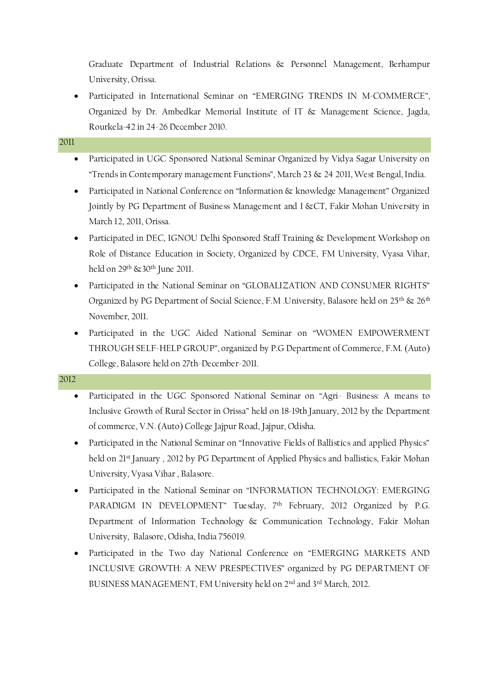Graduate Department of Industrial Relations & Personnel Management, Berhampur University, Orissa.

 Participated in International Seminar on "EMERGING TRENDS IN M-COMMERCE", Organized by Dr. Ambedkar Memorial Institute of IT & Management Science, Jagda, Rourkela-42 in 24-26 December 2010.

## 2011

- Participated in UGC Sponsored National Seminar Organized by Vidya Sagar University on "Trends in Contemporary management Functions", March 23 & 24 2011, West Bengal, India.
- Participated in National Conference on "Information & knowledge Management" Organized Jointly by PG Department of Business Management and I &CT, Fakir Mohan University in March 12, 2011, Orissa.
- Participated in DEC, IGNOU Delhi Sponsored Staff Training & Development Workshop on Role of Distance Education in Society, Organized by CDCE, FM University, Vyasa Vihar, held on 29<sup>th</sup> & 30<sup>th</sup> June 2011.
- Participated in the National Seminar on "GLOBALIZATION AND CONSUMER RIGHTS" Organized by PG Department of Social Science, F.M .University, Balasore held on 25<sup>th</sup> & 26<sup>th</sup> November, 2011.
- Participated in the UGC Aided National Seminar on "WOMEN EMPOWERMENT THROUGH SELF-HELP GROUP", organized by P.G Department of Commerce, F.M. (Auto) College, Balasore held on 27th-December-2011.

- Participated in the UGC Sponsored National Seminar on "Agri- Business: A means to Inclusive Growth of Rural Sector in Orissa" held on 18-19th January, 2012 by the Department of commerce, V.N. (Auto) College Jajpur Road, Jajpur, Odisha.
- Participated in the National Seminar on "Innovative Fields of Ballistics and applied Physics" held on 21<sup>st</sup> January, 2012 by PG Department of Applied Physics and ballistics, Fakir Mohan University, Vyasa Vihar , Balasore.
- Participated in the National Seminar on "INFORMATION TECHNOLOGY: EMERGING PARADIGM IN DEVELOPMENT" Tuesday, 7<sup>th</sup> February, 2012 Organized by P.G. Department of Information Technology & Communication Technology, Fakir Mohan University, Balasore, Odisha, India 756019.
- Participated in the Two day National Conference on "EMERGING MARKETS AND INCLUSIVE GROWTH: A NEW PRESPECTIVES" organized by PG DEPARTMENT OF BUSINESS MANAGEMENT, FM University held on 2nd and 3rd March, 2012.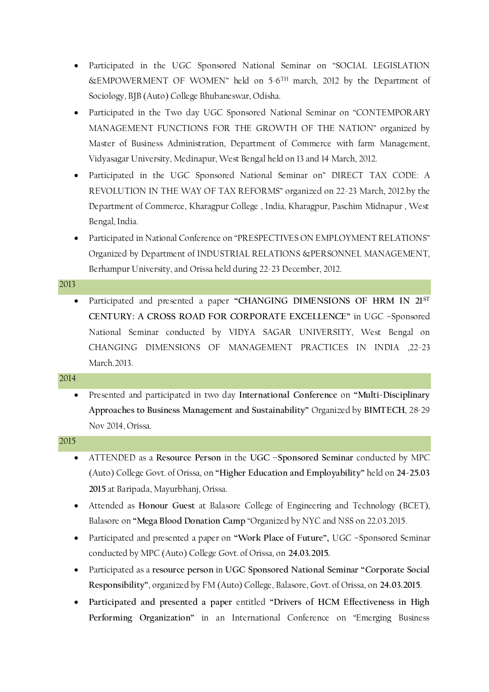- Participated in the UGC Sponsored National Seminar on "SOCIAL LEGISLATION &EMPOWERMENT OF WOMEN" held on 5-6 TH march, 2012 by the Department of Sociology, BJB (Auto) College Bhubaneswar, Odisha.
- Participated in the Two day UGC Sponsored National Seminar on "CONTEMPORARY MANAGEMENT FUNCTIONS FOR THE GROWTH OF THE NATION" organized by Master of Business Administration, Department of Commerce with farm Management, Vidyasagar University, Medinapur, West Bengal held on 13 and 14 March, 2012.
- Participated in the UGC Sponsored National Seminar on" DIRECT TAX CODE: A REVOLUTION IN THE WAY OF TAX REFORMS" organized on 22-23 March, 2012.by the Department of Commerce, Kharagpur College , India, Kharagpur, Paschim Midnapur , West Bengal, India.
- Participated in National Conference on "PRESPECTIVES ON EMPLOYMENT RELATIONS" Organized by Department of INDUSTRIAL RELATIONS &PERSONNEL MANAGEMENT, Berhampur University, and Orissa held during 22-23 December, 2012.

 Participated and presented a paper **"CHANGING DIMENSIONS OF HRM IN 21ST CENTURY: A CROSS ROAD FOR CORPORATE EXCELLENCE"** in UGC –Sponsored National Seminar conducted by VIDYA SAGAR UNIVERSITY, West Bengal on CHANGING DIMENSIONS OF MANAGEMENT PRACTICES IN INDIA ,22-23 March.2013.

#### 2014

 Presented and participated in two day **International Conference** on **"Multi-Disciplinary Approaches to Business Management and Sustainability"** Organized by **BIMTECH**, 28-29 Nov 2014, Orissa.

- ATTENDED as a **Resource Person** in the **UGC –Sponsored Seminar** conducted by MPC (Auto) College Govt. of Orissa, on **"Higher Education and Employability"** held on **24-25.03 2015** at Baripada, Mayurbhanj, Orissa.
- Attended as **Honour Guest** at Balasore College of Engineering and Technology (BCET), Balasore on **"Mega Blood Donation Camp** "Organized by NYC and NSS on 22.03.2015.
- Participated and presented a paper on **"Work Place of Future",** UGC –Sponsored Seminar conducted by MPC (Auto) College Govt. of Orissa, on **24.03.2015.**
- Participated as a **resource person** in **UGC Sponsored National Seminar "Corporate Social Responsibility"**, organized by FM (Auto) College, Balasore, Govt. of Orissa, on **24.03.2015**.
- **Participated and presented a paper** entitled **"Drivers of HCM Effectiveness in High Performing Organization"** in an International Conference on "Emerging Business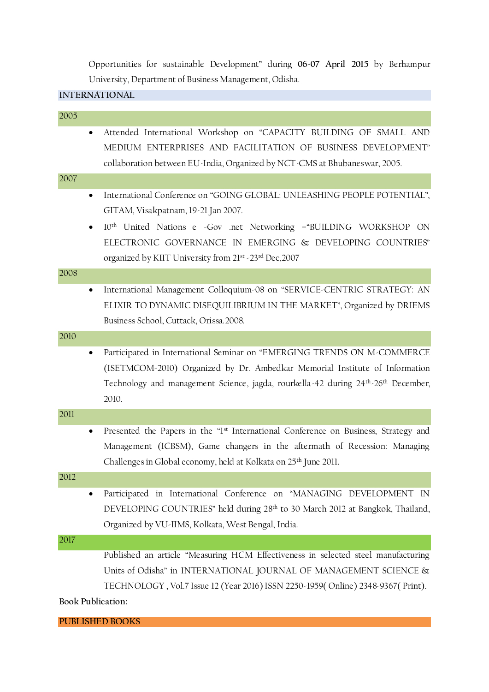Opportunities for sustainable Development" during **06-07 April 2015** by Berhampur University, Department of Business Management, Odisha.

## **INTERNATIONAL**

| 2005              |                                                                                                                                                                                                                                                                               |
|-------------------|-------------------------------------------------------------------------------------------------------------------------------------------------------------------------------------------------------------------------------------------------------------------------------|
| $\bullet$         | Attended International Workshop on "CAPACITY BUILDING OF SMALL AND<br>MEDIUM ENTERPRISES AND FACILITATION OF BUSINESS DEVELOPMENT"<br>collaboration between EU-India, Organized by NCT-CMS at Bhubaneswar, 2005.                                                              |
| 2007              |                                                                                                                                                                                                                                                                               |
| $\bullet$         | International Conference on "GOING GLOBAL: UNLEASHING PEOPLE POTENTIAL",<br>GITAM, Visakpatnam, 19-21 Jan 2007.                                                                                                                                                               |
|                   | 10 <sup>th</sup> United Nations e -Gov .net Networking -"BUILDING WORKSHOP ON<br>ELECTRONIC GOVERNANCE IN EMERGING & DEVELOPING COUNTRIES"<br>organized by KIIT University from 21st -23rd Dec, 2007                                                                          |
| 2008              |                                                                                                                                                                                                                                                                               |
| $\bullet$         | International Management Colloquium-08 on "SERVICE-CENTRIC STRATEGY: AN<br>ELIXIR TO DYNAMIC DISEQUILIBRIUM IN THE MARKET", Organized by DRIEMS<br>Business School, Cuttack, Orissa.2008.                                                                                     |
| 2010              |                                                                                                                                                                                                                                                                               |
| $\bullet$         | Participated in International Seminar on "EMERGING TRENDS ON M-COMMERCE<br>(ISETMCOM-2010) Organized by Dr. Ambedkar Memorial Institute of Information<br>Technology and management Science, jagda, rourkella-42 during 24 <sup>th</sup> -26 <sup>th</sup> December,<br>2010. |
| 2011              |                                                                                                                                                                                                                                                                               |
| $\bullet$         | Presented the Papers in the "1st International Conference on Business, Strategy and<br>Management (ICBSM), Game changers in the aftermath of Recession: Managing<br>Challenges in Global economy, held at Kolkata on 25 <sup>th</sup> June 2011.                              |
| 2012              |                                                                                                                                                                                                                                                                               |
|                   | Participated in International Conference on "MANAGING DEVELOPMENT IN<br>DEVELOPING COUNTRIES" held during 28 <sup>th</sup> to 30 March 2012 at Bangkok, Thailand,<br>Organized by VU-IIMS, Kolkata, West Bengal, India.                                                       |
| 2017              |                                                                                                                                                                                                                                                                               |
| Book Publication: | Published an article "Measuring HCM Effectiveness in selected steel manufacturing<br>Units of Odisha" in INTERNATIONAL JOURNAL OF MANAGEMENT SCIENCE &<br>TECHNOLOGY, Vol.7 Issue 12 (Year 2016) ISSN 2250-1959(Online) 2348-9367(Print).                                     |
|                   |                                                                                                                                                                                                                                                                               |

**PUBLISHED BOOKS**